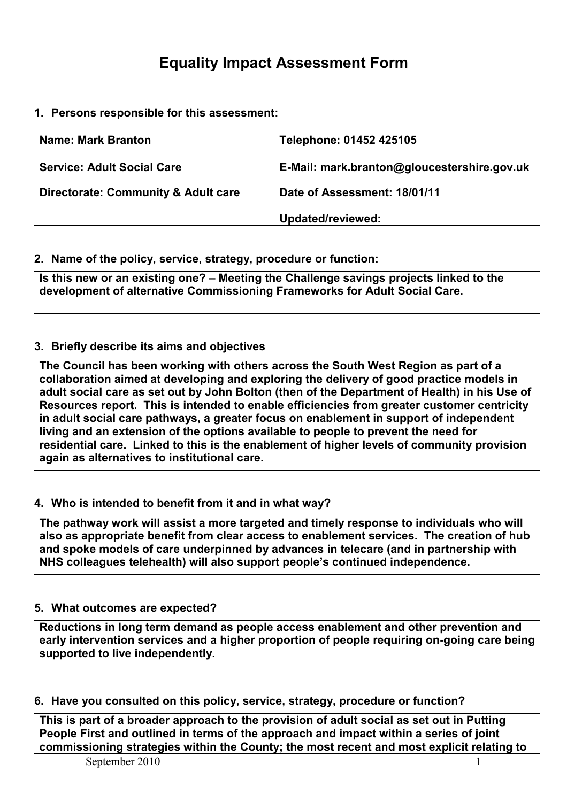# Equality Impact Assessment Form

1. Persons responsible for this assessment:

| <b>Name: Mark Branton</b>                      | Telephone: 01452 425105                     |
|------------------------------------------------|---------------------------------------------|
| <b>Service: Adult Social Care</b>              | E-Mail: mark.branton@gloucestershire.gov.uk |
| <b>Directorate: Community &amp; Adult care</b> | Date of Assessment: 18/01/11                |
|                                                | Updated/reviewed:                           |

#### 2. Name of the policy, service, strategy, procedure or function:

Is this new or an existing one? – Meeting the Challenge savings projects linked to the development of alternative Commissioning Frameworks for Adult Social Care.

### 3. Briefly describe its aims and objectives

The Council has been working with others across the South West Region as part of a collaboration aimed at developing and exploring the delivery of good practice models in adult social care as set out by John Bolton (then of the Department of Health) in his Use of Resources report. This is intended to enable efficiencies from greater customer centricity in adult social care pathways, a greater focus on enablement in support of independent living and an extension of the options available to people to prevent the need for residential care. Linked to this is the enablement of higher levels of community provision again as alternatives to institutional care.

#### 4. Who is intended to benefit from it and in what way?

The pathway work will assist a more targeted and timely response to individuals who will also as appropriate benefit from clear access to enablement services. The creation of hub and spoke models of care underpinned by advances in telecare (and in partnership with NHS colleagues telehealth) will also support people's continued independence.

#### 5. What outcomes are expected?

Reductions in long term demand as people access enablement and other prevention and early intervention services and a higher proportion of people requiring on-going care being supported to live independently.

#### 6. Have you consulted on this policy, service, strategy, procedure or function?

This is part of a broader approach to the provision of adult social as set out in Putting People First and outlined in terms of the approach and impact within a series of joint commissioning strategies within the County; the most recent and most explicit relating to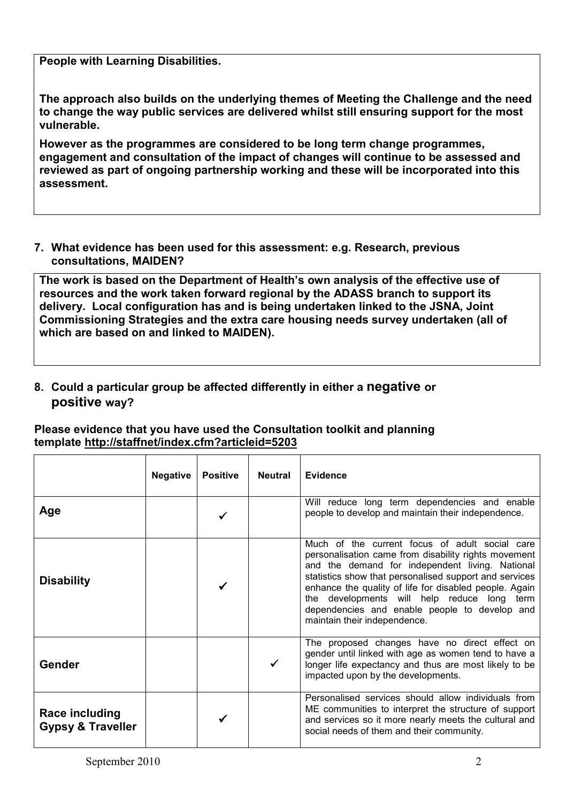People with Learning Disabilities.

The approach also builds on the underlying themes of Meeting the Challenge and the need to change the way public services are delivered whilst still ensuring support for the most vulnerable.

However as the programmes are considered to be long term change programmes, engagement and consultation of the impact of changes will continue to be assessed and reviewed as part of ongoing partnership working and these will be incorporated into this assessment.

7. What evidence has been used for this assessment: e.g. Research, previous consultations, MAIDEN?

The work is based on the Department of Health's own analysis of the effective use of resources and the work taken forward regional by the ADASS branch to support its delivery. Local configuration has and is being undertaken linked to the JSNA, Joint Commissioning Strategies and the extra care housing needs survey undertaken (all of which are based on and linked to MAIDEN).

## 8. Could a particular group be affected differently in either a negative or positive way?

#### Please evidence that you have used the Consultation toolkit and planning template http://staffnet/index.cfm?articleid=5203

|                                                | <b>Negative</b> | <b>Positive</b> | <b>Neutral</b> | Evidence                                                                                                                                                                                                                                                                                                                                                                                                      |  |
|------------------------------------------------|-----------------|-----------------|----------------|---------------------------------------------------------------------------------------------------------------------------------------------------------------------------------------------------------------------------------------------------------------------------------------------------------------------------------------------------------------------------------------------------------------|--|
| Age                                            |                 |                 |                | Will reduce long term dependencies and enable<br>people to develop and maintain their independence.                                                                                                                                                                                                                                                                                                           |  |
| <b>Disability</b>                              |                 |                 |                | Much of the current focus of adult social care<br>personalisation came from disability rights movement<br>and the demand for independent living. National<br>statistics show that personalised support and services<br>enhance the quality of life for disabled people. Again<br>the developments will help reduce long term<br>dependencies and enable people to develop and<br>maintain their independence. |  |
| Gender                                         |                 |                 |                | The proposed changes have no direct effect on<br>gender until linked with age as women tend to have a<br>longer life expectancy and thus are most likely to be<br>impacted upon by the developments.                                                                                                                                                                                                          |  |
| Race including<br><b>Gypsy &amp; Traveller</b> |                 |                 |                | Personalised services should allow individuals from<br>ME communities to interpret the structure of support<br>and services so it more nearly meets the cultural and<br>social needs of them and their community.                                                                                                                                                                                             |  |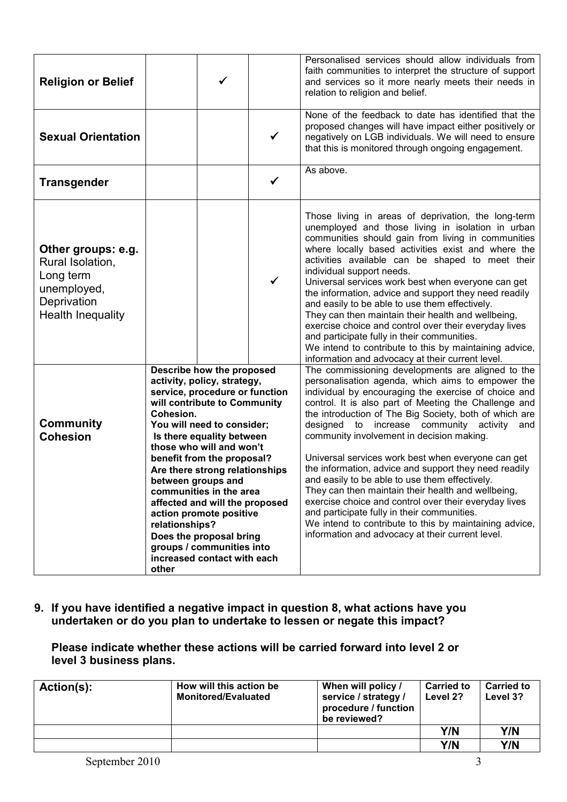| <b>Religion or Belief</b>                                                                                     |                                                                                                                                                                                                                                                                                                                                                                                                                                                                                                                                       |              | Personalised services should allow individuals from<br>faith communities to interpret the structure of support<br>and services so it more nearly meets their needs in<br>relation to religion and belief.                                                                                                                                                                                                                                                                                                                                                                                                                                                                                                                                                                                                                     |
|---------------------------------------------------------------------------------------------------------------|---------------------------------------------------------------------------------------------------------------------------------------------------------------------------------------------------------------------------------------------------------------------------------------------------------------------------------------------------------------------------------------------------------------------------------------------------------------------------------------------------------------------------------------|--------------|-------------------------------------------------------------------------------------------------------------------------------------------------------------------------------------------------------------------------------------------------------------------------------------------------------------------------------------------------------------------------------------------------------------------------------------------------------------------------------------------------------------------------------------------------------------------------------------------------------------------------------------------------------------------------------------------------------------------------------------------------------------------------------------------------------------------------------|
| <b>Sexual Orientation</b>                                                                                     |                                                                                                                                                                                                                                                                                                                                                                                                                                                                                                                                       | $\checkmark$ | None of the feedback to date has identified that the<br>proposed changes will have impact either positively or<br>negatively on LGB individuals. We will need to ensure<br>that this is monitored through ongoing engagement.                                                                                                                                                                                                                                                                                                                                                                                                                                                                                                                                                                                                 |
| <b>Transgender</b>                                                                                            |                                                                                                                                                                                                                                                                                                                                                                                                                                                                                                                                       | ✓            | As above.                                                                                                                                                                                                                                                                                                                                                                                                                                                                                                                                                                                                                                                                                                                                                                                                                     |
| Other groups: e.g.<br>Rural Isolation,<br>Long term<br>unemployed,<br>Deprivation<br><b>Health Inequality</b> |                                                                                                                                                                                                                                                                                                                                                                                                                                                                                                                                       | ✓            | Those living in areas of deprivation, the long-term<br>unemployed and those living in isolation in urban<br>communities should gain from living in communities<br>where locally based activities exist and where the<br>activities available can be shaped to meet their<br>individual support needs.<br>Universal services work best when everyone can get<br>the information, advice and support they need readily<br>and easily to be able to use them effectively.<br>They can then maintain their health and wellbeing,<br>exercise choice and control over their everyday lives<br>and participate fully in their communities.<br>We intend to contribute to this by maintaining advice,<br>information and advocacy at their current level.                                                                            |
| <b>Community</b><br><b>Cohesion</b>                                                                           | <b>Describe how the proposed</b><br>activity, policy, strategy,<br>service, procedure or function<br>will contribute to Community<br>Cohesion.<br>You will need to consider;<br>Is there equality between<br>those who will and won't<br>benefit from the proposal?<br>Are there strong relationships<br>between groups and<br>communities in the area<br>affected and will the proposed<br>action promote positive<br>relationships?<br>Does the proposal bring<br>groups / communities into<br>increased contact with each<br>other |              | The commissioning developments are aligned to the<br>personalisation agenda, which aims to empower the<br>individual by encouraging the exercise of choice and<br>control. It is also part of Meeting the Challenge and<br>the introduction of The Big Society, both of which are<br>designed to increase community activity<br>and<br>community involvement in decision making.<br>Universal services work best when everyone can get<br>the information, advice and support they need readily<br>and easily to be able to use them effectively.<br>They can then maintain their health and wellbeing,<br>exercise choice and control over their everyday lives<br>and participate fully in their communities.<br>We intend to contribute to this by maintaining advice,<br>information and advocacy at their current level. |

9. If you have identified a negative impact in question 8, what actions have you undertaken or do you plan to undertake to lessen or negate this impact?

Please indicate whether these actions will be carried forward into level 2 or level 3 business plans.

| Action(s): | How will this action be<br><b>Monitored/Evaluated</b> | When will policy /<br>service / strategy /<br>procedure / function<br>be reviewed? | <b>Carried to</b><br>Level 2? | <b>Carried to</b><br>Level 3? |
|------------|-------------------------------------------------------|------------------------------------------------------------------------------------|-------------------------------|-------------------------------|
|            |                                                       |                                                                                    | Y/N                           | Y/N                           |
|            |                                                       |                                                                                    | Y/N                           | Y/N                           |